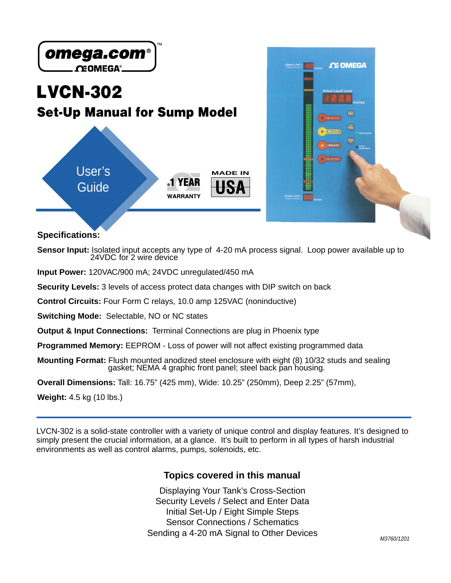

**Specifications:**

**Sensor Input:** Isolated input accepts any type of 4-20 mA process signal. Loop power available up to 24VDC for 2 wire device

**Input Power:** 120VAC/900 mA; 24VDC unregulated/450 mA

**Security Levels:** 3 levels of access protect data changes with DIP switch on back

**Control Circuits:** Four Form C relays, 10.0 amp 125VAC (noninductive)

**Switching Mode:** Selectable, NO or NC states

**Output & Input Connections:** Terminal Connections are plug in Phoenix type

**Programmed Memory:** EEPROM - Loss of power will not affect existing programmed data

**Mounting Format:** Flush mounted anodized steel enclosure with eight (8) 10/32 studs and sealing gasket; NEMA 4 graphic front panel; steel back pan housing.

**Overall Dimensions:** Tall: 16.75" (425 mm), Wide: 10.25" (250mm), Deep 2.25" (57mm),

**Weight:** 4.5 kg (10 lbs.)

LVCN-302 is a solid-state controller with a variety of unique control and display features. It's designed to simply present the crucial information, at a glance. It's built to perform in all types of harsh industrial environments as well as control alarms, pumps, solenoids, etc.

#### **Topics covered in this manual**

Displaying Your Tank's Cross-Section Security Levels / Select and Enter Data Initial Set-Up / Eight Simple Steps Sensor Connections / Schematics Sending a 4-20 mA Signal to Other Devices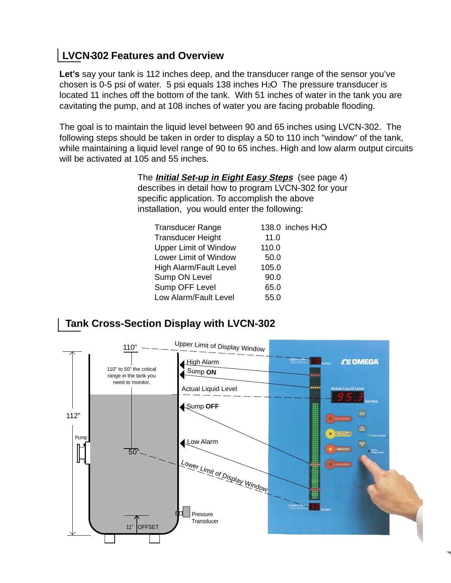# **LVCN-302 Features and Overview**

**Let's** say your tank is 112 inches deep, and the transducer range of the sensor you've chosen is 0-5 psi of water. 5 psi equals 138 inches H2O The pressure transducer is located 11 inches off the bottom of the tank. With 51 inches of water in the tank you are cavitating the pump, and at 108 inches of water you are facing probable flooding.

The goal is to maintain the liquid level between 90 and 65 inches using LVCN-302. The following steps should be taken in order to display a 50 to 110 inch "window" of the tank, while maintaining a liquid level range of 90 to 65 inches. High and low alarm output circuits will be activated at 105 and 55 inches.

> The **Initial Set-up in Eight Easy Steps** (see page 4) describes in detail how to program LVCN-302 for your specific application. To accomplish the above installation, you would enter the following:

| <b>Transducer Range</b>      |       | 138.0 inches H <sub>2</sub> O |
|------------------------------|-------|-------------------------------|
| <b>Transducer Height</b>     | 11.0  |                               |
| <b>Upper Limit of Window</b> | 110.0 |                               |
| Lower Limit of Window        | 50.0  |                               |
| High Alarm/Fault Level       | 105.0 |                               |
| Sump ON Level                | 90.0  |                               |
| Sump OFF Level               | 65.0  |                               |
| Low Alarm/Fault Level        | 55.0  |                               |

## **Tank Cross-Section Display with LVCN-302**

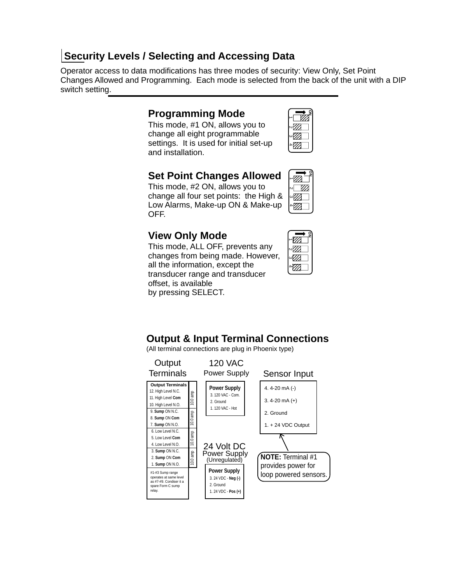### **Security Levels / Selecting and Accessing Data**

Operator access to data modifications has three modes of security: View Only, Set Point Changes Allowed and Programming. Each mode is selected from the back of the unit with a DIP switch setting.

#### **Programming Mode**

This mode, #1 ON, allows you to change all eight programmable settings. It is used for initial set-up and installation.

|   | ″// |  |
|---|-----|--|
| ω | 77  |  |
|   | 7   |  |

**ON**

1234 The Company of the United States and Company of the United States and Company of the United States and . . . . . . . . . . . . . . . .

### **Set Point Changes Allowed**

This mode, #2 ON, allows you to change all four set points: the High & Low Alarms, Make-up ON & Make-up OFF.

### **View Only Mode**

This mode, ALL OFF, prevents any changes from being made. However, all the information, except the transducer range and transducer offset, is available by pressing SELECT.



### **Output & Input Terminal Connections**

(All terminal connections are plug in Phoenix type)

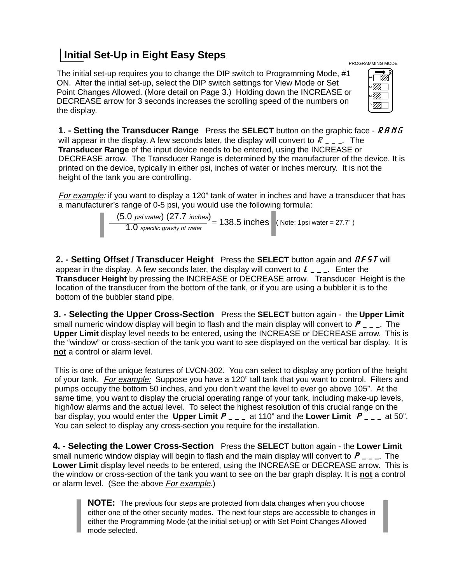## **Initial Set-Up in Eight Easy Steps**

The initial set-up requires you to change the DIP switch to Programming Mode, #1 ON. After the initial set-up, select the DIP switch settings for View Mode or Set Point Changes Allowed. (More detail on Page 3.) Holding down the INCREASE or DECREASE arrow for 3 seconds increases the scrolling speed of the numbers on the display.

| <b>1. - Setting the Transducer Range</b> Press the SELECT button on the graphic face - RRNG      |
|--------------------------------------------------------------------------------------------------|
| will appear in the display. A few seconds later, the display will convert to $R_{-,-}$ . The     |
| <b>Transducer Range</b> of the input device needs to be entered, using the INCREASE or           |
| DECREASE arrow. The Transducer Range is determined by the manufacturer of the device. It is      |
| printed on the device, typically in either psi, inches of water or inches mercury. It is not the |
| height of the tank you are controlling.                                                          |

For example: if you want to display a 120" tank of water in inches and have a transducer that has a manufacturer's range of 0-5 psi, you would use the following formula:

$$
\frac{(5.0 \text{ psi water}) (27.7 \text{ inches})}{1.0 \text{ specific gravity of water}} = 138.5 \text{ inches}
$$
 (Note: 1psi water = 27.7")

**2. - Setting Offset / Transducer Height** Press the **SELECT** button again and *OFST* will appear in the display. A few seconds later, the display will convert to *L\_\_\_*. Enter the **Transducer Height** by pressing the INCREASE or DECREASE arrow. Transducer Height is the location of the transducer from the bottom of the tank, or if you are using a bubbler it is to the bottom of the bubbler stand pipe.

**3. - Selecting the Upper Cross-Section** Press the **SELECT** button again - the **Upper Limit** small numeric window display will begin to flash and the main display will convert to *P\_\_\_*. The **Upper Limit** display level needs to be entered, using the INCREASE or DECREASE arrow. This is the "window" or cross-section of the tank you want to see displayed on the vertical bar display. It is **not** a control or alarm level.

This is one of the unique features of LVCN-302. You can select to display any portion of the height of your tank. *For example:* Suppose you have a 120" tall tank that you want to control. Filters and pumps occupy the bottom 50 inches, and you don't want the level to ever go above 105". At the same time, you want to display the crucial operating range of your tank, including make-up levels, high/low alarms and the actual level. To select the highest resolution of this crucial range on the bar display, you would enter the **Upper Limit** *P\_\_\_* at 110" and the **Lower Limit** *P\_\_\_*at 50". You can select to display any cross-section you require for the installation.

**4. - Selecting the Lower Cross-Section** Press the **SELECT** button again - the **Lower Limit** small numeric window display will begin to flash and the main display will convert to *P\_\_\_*. The **Lower Limit** display level needs to be entered, using the INCREASE or DECREASE arrow. This is the window or cross-section of the tank you want to see on the bar graph display. It is **not** a control or alarm level. (See the above For example.)

**NOTE:** The previous four steps are protected from data changes when you choose either one of the other security modes. The next four steps are accessible to changes in either the Programming Mode (at the initial set-up) or with Set Point Changes Allowed mode selected.

PROGRAMMING MODE

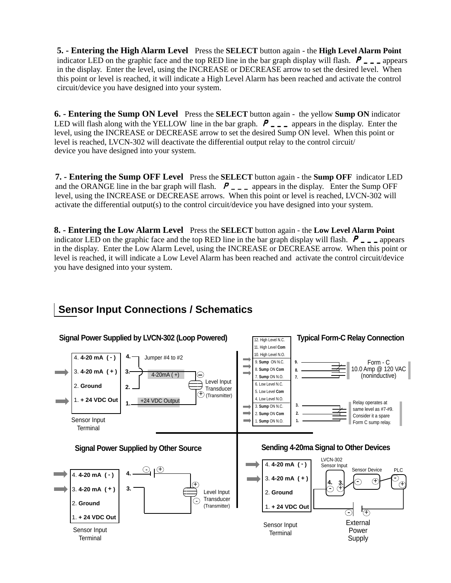**5. - Entering the High Alarm Level** Press the **SELECT** button again - the **High Level Alarm Point** indicator LED on the graphic face and the top RED line in the bar graph display will flash.  $P_{\text{max}}$  appears in the display. Enter the level, using the INCREASE or DECREASE arrow to set the desired level. When this point or level is reached, it will indicate a High Level Alarm has been reached and activate the control circuit/device you have designed into your system.

**6. - Entering the Sump ON Level** Press the **SELECT** button again - the yellow **Sump ON** indicator LED will flash along with the YELLOW line in the bar graph.  $P_{\text{max}}$  appears in the display. Enter the level, using the INCREASE or DECREASE arrow to set the desired Sump ON level. When this point or level is reached, LVCN-302 will deactivate the differential output relay to the control circuit/ device you have designed into your system.

**7. - Entering the Sump OFF Level** Press the **SELECT** button again - the **Sump OFF** indicator LED and the ORANGE line in the bar graph will flash.  $P_{\text{max}}$  appears in the display. Enter the Sump OFF level, using the INCREASE or DECREASE arrows. When this point or level is reached, LVCN-302 will activate the differential output(s) to the control circuit/device you have designed into your system.

**8. - Entering the Low Alarm Level** Press the **SELECT** button again - the **Low Level Alarm Point** indicator LED on the graphic face and the top RED line in the bar graph display will flash. *P\_\_\_* appears in the display. Enter the Low Alarm Level, using the INCREASE or DECREASE arrow. When this point or level is reached, it will indicate a Low Level Alarm has been reached and activate the control circuit/device you have designed into your system.

# **Sensor Input Connections / Schematics**

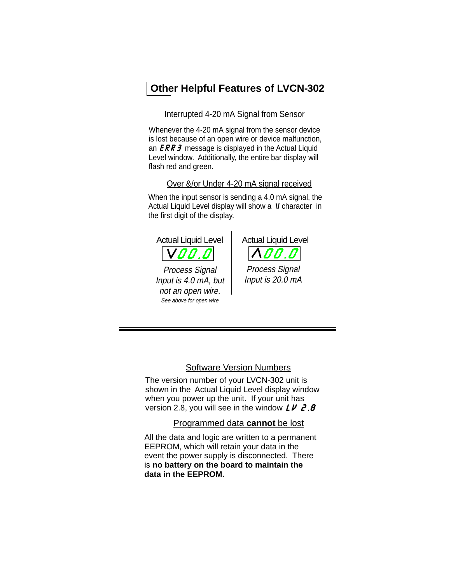## **Other Helpful Features of LVCN-302**

Interrupted 4-20 mA Signal from Sensor

Whenever the 4-20 mA signal from the sensor device is lost because of an open wire or device malfunction, an *ERR3* message is displayed in the Actual Liquid Level window. Additionally, the entire bar display will flash red and green.

Over &/or Under 4-20 mA signal received

When the input sensor is sending a 4.0 mA signal, the Actual Liquid Level display will show a V character in the first digit of the display.





Process Signal Input is 20.0 mA

Software Version Numbers

The version number of your LVCN-302 unit is shown in the Actual Liquid Level display window when you power up the unit. If your unit has version 2.8, you will see in the window *LV 2.8*

Programmed data **cannot** be lost

All the data and logic are written to a permanent EEPROM, which will retain your data in the event the power supply is disconnected. There is **no battery on the board to maintain the data in the EEPROM.**